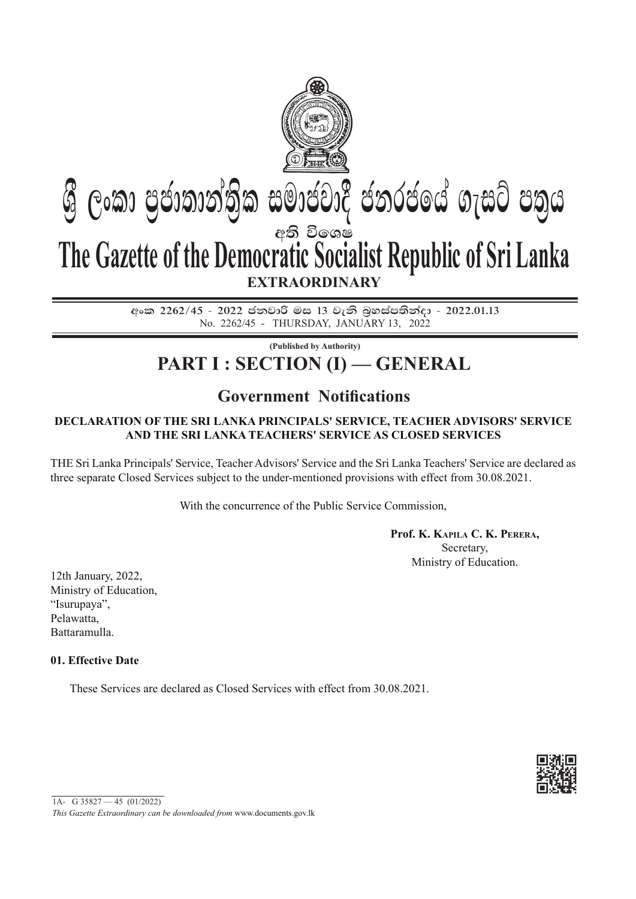

<u> අංකු 2262/45 - 2022 ජනවාරි මස 13 වැනි බහස්පතින් $\epsilon$ 3 - 2022.01.13</u> No. 2262/45 - thursday, JANUARY 13, 2022

**(Published by Authority)**

# **PART I : SECTION (I) — GENERAL**

# **Government Notifications**

## **Declaration of the Sri Lanka Principals' Service, Teacher Advisors' Service and the Sri Lanka Teachers' Service as Closed Services**

The Sri Lanka Principals' Service, Teacher Advisors' Service and the Sri Lanka Teachers' Service are declared as three separate Closed Services subject to the under-mentioned provisions with effect from 30.08.2021.

With the concurrence of the Public Service Commission,

**Prof. K. Kapila C. K. Perera,** Secretary, Ministry of Education.

12th January, 2022, Ministry of Education, "Isurupaya", Pelawatta, Battaramulla.

### **01. Effective Date**

These Services are declared as Closed Services with effect from 30.08.2021.